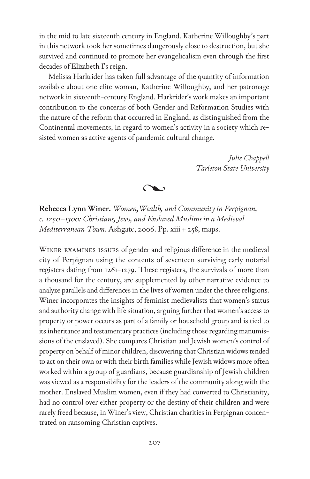in the mid to late sixteenth century in England. Katherine Willoughby's part in this network took her sometimes dangerously close to destruction, but she survived and continued to promote her evangelicalism even through the first decades of Elizabeth I's reign.

Melissa Harkrider has taken full advantage of the quantity of information available about one elite woman, Katherine Willoughby, and her patronage network in sixteenth-century England. Harkrider's work makes an important contribution to the concerns of both Gender and Reformation Studies with the nature of the reform that occurred in England, as distinguished from the Continental movements, in regard to women's activity in a society which resisted women as active agents of pandemic cultural change.

> *Julie Chappell Tarleton State University*



**Rebecca Lynn Winer.** *Women, Wealth, and Community in Perpignan, c. 1250–1300: Christians, Jews, and Enslaved Muslims in a Medieval Mediterranean Town*. Ashgate, 2006. Pp. xiii + 258, maps.

Winer examines issues of gender and religious difference in the medieval city of Perpignan using the contents of seventeen surviving early notarial registers dating from 1261–1279. These registers, the survivals of more than a thousand for the century, are supplemented by other narrative evidence to analyze parallels and differences in the lives of women under the three religions. Winer incorporates the insights of feminist medievalists that women's status and authority change with life situation, arguing further that women's access to property or power occurs as part of a family or household group and is tied to its inheritance and testamentary practices (including those regarding manumissions of the enslaved). She compares Christian and Jewish women's control of property on behalf of minor children, discovering that Christian widows tended to act on their own or with their birth families while Jewish widows more often worked within a group of guardians, because guardianship of Jewish children was viewed as a responsibility for the leaders of the community along with the mother. Enslaved Muslim women, even if they had converted to Christianity, had no control over either property or the destiny of their children and were rarely freed because, in Winer's view, Christian charities in Perpignan concentrated on ransoming Christian captives.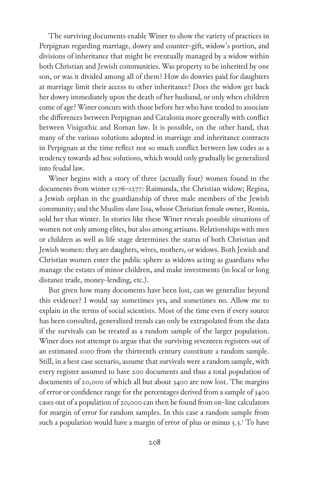The surviving documents enable Winer to show the variety of practices in Perpignan regarding marriage, dowry and counter-gift, widow's portion, and divisions of inheritance that might be eventually managed by a widow within both Christian and Jewish communities. Was property to be inherited by one son, or was it divided among all of them? How do dowries paid for daughters at marriage limit their access to other inheritance? Does the widow get back her dowry immediately upon the death of her husband, or only when children come of age? Winer concurs with those before her who have tended to associate the differences between Perpignan and Catalonia more generally with conflict between Visigothic and Roman law. It is possible, on the other hand, that many of the various solutions adopted in marriage and inheritance contracts in Perpignan at the time reflect not so much conflict between law codes as a tendency towards ad hoc solutions, which would only gradually be generalized into feudal law.

Winer begins with a story of three (actually four) women found in the documents from winter 1276–1277: Raimunda, the Christian widow; Regina, a Jewish orphan in the guardianship of three male members of the Jewish community; and the Muslim slave Issa, whose Christian female owner, Romia, sold her that winter. In stories like these Winer reveals possible situations of women not only among elites, but also among artisans. Relationships with men or children as well as life stage determines the status of both Christian and Jewish women: they are daughers, wives, mothers, or widows. Both Jewish and Christian women enter the public sphere as widows acting as guardians who manage the estates of minor children, and make investments (in local or long distance trade, money-lending, etc.).

But given how many documents have been lost, can we generalize beyond this evidence? I would say sometimes yes, and sometimes no. Allow me to explain in the terms of social scientists. Most of the time even if every source has been consulted, generalized trends can only be extrapolated from the data if the survivals can be treated as a random sample of the larger population. Winer does not attempt to argue that the surviving seventeen registers out of an estimated 1000 from the thirteenth century constitute a random sample. Still, in a best case scenario, assume that survivals were a random sample, with every register assumed to have 200 documents and thus a total population of documents of 20,000 of which all but about 3400 are now lost. The margins of error or confidence range for the percentages derived from a sample of 3400 cases out of a population of 20,000 can then be found from on-line calculators for margin of error for random samples. In this case a random sample from such a population would have a margin of error of plus or minus 5.3.<sup>1</sup> To have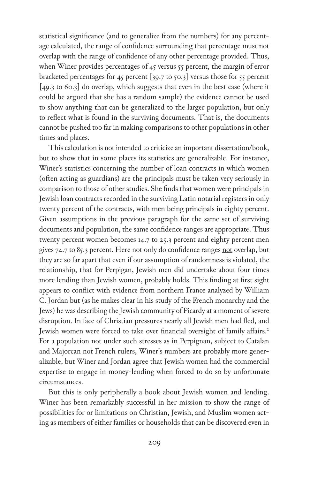statistical significance (and to generalize from the numbers) for any percentage calculated, the range of confidence surrounding that percentage must not overlap with the range of confidence of any other percentage provided. Thus, when Winer provides percentages of 45 versus 55 percent, the margin of error bracketed percentages for 45 percent [39.7 to 50.3] versus those for 55 percent [49.3 to 60.3] do overlap, which suggests that even in the best case (where it could be argued that she has a random sample) the evidence cannot be used to show anything that can be generalized to the larger population, but only to reflect what is found in the surviving documents. That is, the documents cannot be pushed too far in making comparisons to other populations in other times and places.

This calculation is not intended to criticize an important dissertation/book, but to show that in some places its statistics are generalizable. For instance, Winer's statistics concerning the number of loan contracts in which women (often acting as guardians) are the principals must be taken very seriously in comparison to those of other studies. She finds that women were principals in Jewish loan contracts recorded in the surviving Latin notarial registers in only twenty percent of the contracts, with men being principals in eighty percent. Given assumptions in the previous paragraph for the same set of surviving documents and population, the same confidence ranges are appropriate. Thus twenty percent women becomes 14.7 to 25.3 percent and eighty percent men gives 74.7 to 85.3 percent. Here not only do confidence ranges not overlap, but they are so far apart that even if our assumption of randomness is violated, the relationship, that for Perpigan, Jewish men did undertake about four times more lending than Jewish women, probably holds. This finding at first sight appears to conflict with evidence from northern France analyzed by William C. Jordan but (as he makes clear in his study of the French monarchy and the Jews) he was describing the Jewish community of Picardy at a moment of severe disruption. In face of Christian pressures nearly all Jewish men had fled, and Jewish women were forced to take over financial oversight of family affairs.<sup>2</sup> For a population not under such stresses as in Perpignan, subject to Catalan and Majorcan not French rulers, Winer's numbers are probably more generalizable, but Winer and Jordan agree that Jewish women had the commercial expertise to engage in money-lending when forced to do so by unfortunate circumstances.

But this is only peripherally a book about Jewish women and lending. Winer has been remarkably successful in her mission to show the range of possibilities for or limitations on Christian, Jewish, and Muslim women acting as members of either families or households that can be discovered even in